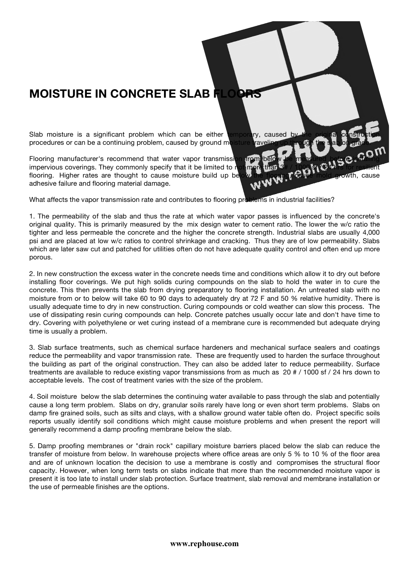## **MOISTURE IN CONCRETE SLAB FLOORS**

Slab moisture is a significant problem which can be either temporary, caused by the original construction procedures or can be a continuing problem, caused by ground moisture traveling up through the slab on grade.

Flooring manufacturer's recommend that water vapor transmission from below be measured before installing impervious coverings. They commonly specify that it be limited to not more than 3# / 1000 sf / 24 hrs for resilient flooring. Higher rates are thought to cause moisture build up below the flooring, cause mold growth, cause w W adhesive failure and flooring material damage.

What affects the vapor transmission rate and contributes to flooring problems in industrial facilities?

1. The permeability of the slab and thus the rate at which water vapor passes is influenced by the concrete's original quality. This is primarily measured by the mix design water to cement ratio. The lower the w/c ratio the tighter and less permeable the concrete and the higher the concrete strength. Industrial slabs are usually 4,000 psi and are placed at low w/c ratios to control shrinkage and cracking. Thus they are of low permeability. Slabs which are later saw cut and patched for utilities often do not have adequate quality control and often end up more porous.

2. In new construction the excess water in the concrete needs time and conditions which allow it to dry out before installing floor coverings. We put high solids curing compounds on the slab to hold the water in to cure the concrete. This then prevents the slab from drying preparatory to flooring installation. An untreated slab with no moisture from or to below will take 60 to 90 days to adequately dry at 72 F and 50 % relative humidity. There is usually adequate time to dry in new construction. Curing compounds or cold weather can slow this process. The use of dissipating resin curing compounds can help. Concrete patches usually occur late and don't have time to dry. Covering with polyethylene or wet curing instead of a membrane cure is recommended but adequate drying time is usually a problem.

3. Slab surface treatments, such as chemical surface hardeners and mechanical surface sealers and coatings reduce the permeability and vapor transmission rate. These are frequently used to harden the surface throughout the building as part of the original construction. They can also be added later to reduce permeability. Surface treatments are available to reduce existing vapor transmissions from as much as 20 # / 1000 sf / 24 hrs down to acceptable levels. The cost of treatment varies with the size of the problem.

4. Soil moisture below the slab determines the continuing water available to pass through the slab and potentially cause a long term problem. Slabs on dry, granular soils rarely have long or even short term problems. Slabs on damp fire grained soils, such as silts and clays, with a shallow ground water table often do. Project specific soils reports usually identify soil conditions which might cause moisture problems and when present the report will generally recommend a damp proofing membrane below the slab.

5. Damp proofing membranes or "drain rock" capillary moisture barriers placed below the slab can reduce the transfer of moisture from below. In warehouse projects where office areas are only 5 % to 10 % of the floor area and are of unknown location the decision to use a membrane is costly and compromises the structural floor capacity. However, when long term tests on slabs indicate that more than the recommended moisture vapor is present it is too late to install under slab protection. Surface treatment, slab removal and membrane installation or the use of permeable finishes are the options.